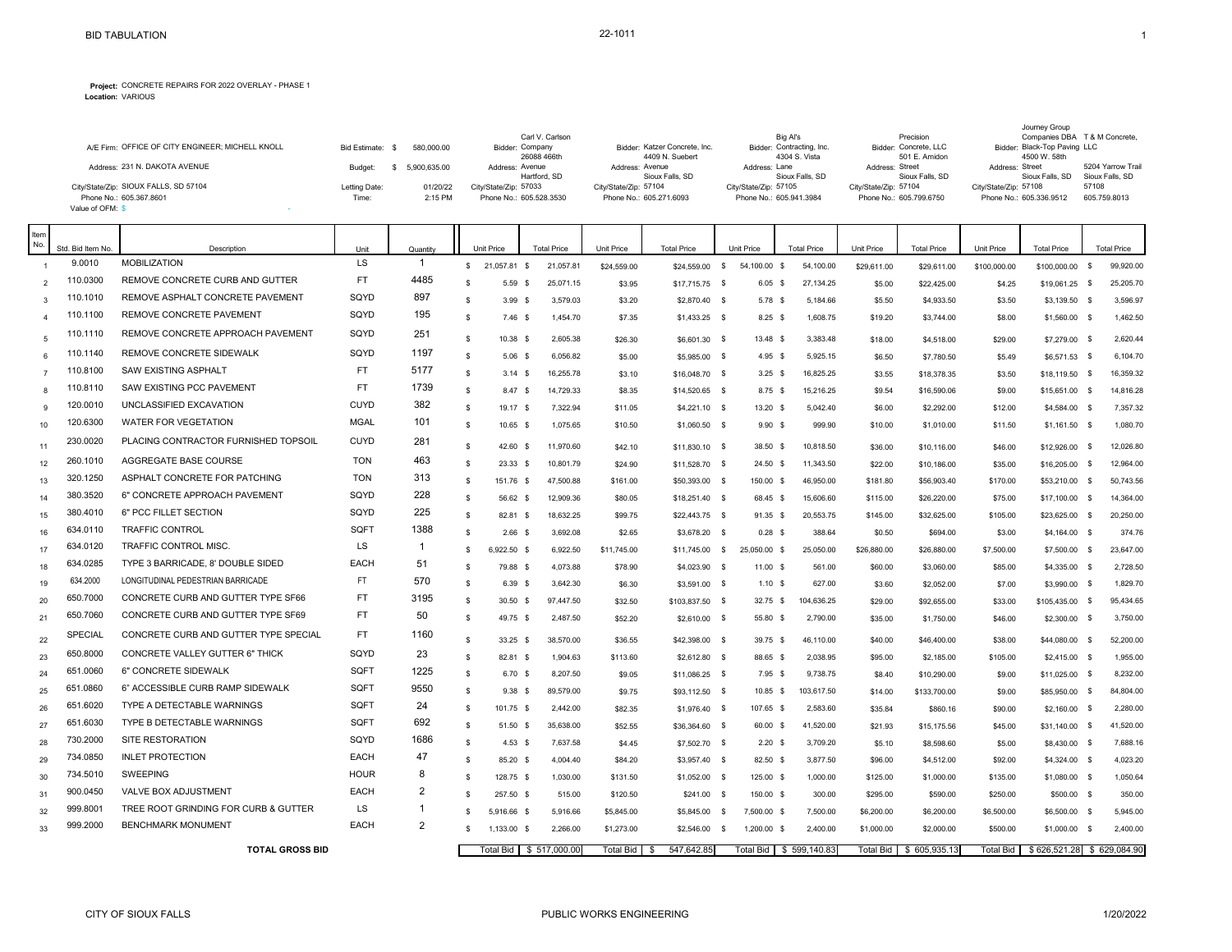## **Project:** CONCRETE REPAIRS FOR 2022 OVERLAY - PHASE 1 **Location:** VARIOUS

Journey Group

|                                                  |               |              | Carl V. Carlson         |                               | Big Al's                  | Precision               |                              | Companies DBA T & M Concrete, |
|--------------------------------------------------|---------------|--------------|-------------------------|-------------------------------|---------------------------|-------------------------|------------------------------|-------------------------------|
| A/E Firm: OFFICE OF CITY ENGINEER; MICHELL KNOLL | Bid Estimate: | 580.000.00   | Bidder: Company         | Bidder: Katzer Concrete, Inc. | Bidder: Contracting, Inc. | Bidder: Concrete, LLC   | Bidder: Black-Top Paving LLC |                               |
|                                                  |               |              | 26088 466th             | 4409 N. Suebert               | 4304 S. Vista             | 501 E. Amidon           | 4500 W. 58th                 |                               |
| Address: 231 N. DAKOTA AVENUE                    | Budget:       | 5.900.635.00 | Address: Avenue         | Address: Avenue               | Address: Lane             | Address: Street         | Address: Street              | 5204 Yarrow Trail             |
|                                                  |               |              | Hartford, SD            | Sioux Falls, SD               | Sioux Falls, SD           | Sioux Falls, SD         | Sioux Falls, SD              | Sioux Falls, SD               |
| City/State/Zip: SIOUX FALLS, SD 57104            | Letting Date: | 01/20/22     | City/State/Zip: 57033   | City/State/Zip: 57104         | City/State/Zip: 57105     | City/State/Zip: 57104   | City/State/Zip: 57108        | 57108                         |
| Phone No.: 605.367.8601                          | Time:         | 2:15 PM      | Phone No.: 605.528.3530 | Phone No.: 605.271.6093       | Phone No.: 605.941.3984   | Phone No.: 605,799,6750 | Phone No.: 605.336.9512      | 605.759.8013                  |
| Value of OFM: \$                                 |               |              |                         |                               |                           |                         |                              |                               |

| Item<br>No.  | Std. Bid Item No. | Description                            | Unit        | Quantity       |                    | Unit Price   | <b>Total Price</b>        | Unit Price        | <b>Total Price</b>              |              | Unit Price       | <b>Total Price</b> | Unit Price       | <b>Total Price</b>       | <b>Unit Price</b> | <b>Total Price</b>              | <b>Total Price</b> |
|--------------|-------------------|----------------------------------------|-------------|----------------|--------------------|--------------|---------------------------|-------------------|---------------------------------|--------------|------------------|--------------------|------------------|--------------------------|-------------------|---------------------------------|--------------------|
|              | 9.0010            | <b>MOBILIZATION</b>                    | <b>LS</b>   | $\mathbf{1}$   | s.                 | 21,057.81 \$ | 21,057.81                 | \$24,559.00       | \$24,559.00                     | \$           | 54,100.00 \$     | 54,100.00          | \$29,611.00      | \$29,611.00              | \$100,000.00      | \$100,000.00 \$                 | 99,920.00          |
|              | 110.0300          | REMOVE CONCRETE CURB AND GUTTER        | <b>FT</b>   | 4485           | -S                 | $5.59$ \$    | 25,071.15                 | \$3.95            | \$17,715.75 \$                  |              | 6.05S            | 27,134.25          | \$5.00           | \$22,425.00              | \$4.25            | \$19,061.25 \$                  | 25,205.70          |
| $\mathbf{3}$ | 110.1010          | REMOVE ASPHALT CONCRETE PAVEMENT       | SQYD        | 897            | <sup>S</sup>       | $3.99$ \$    | 3,579.03                  | \$3.20            | \$2,870.40 \$                   |              | 5.78 \$          | 5,184.66           | \$5.50           | \$4,933.50               | \$3.50            | \$3,139.50 \$                   | 3,596.97           |
|              | 110.1100          | <b>REMOVE CONCRETE PAVEMENT</b>        | SQYD        | 195            | -S                 | $7.46$ \$    | 1,454.70                  | \$7.35            | $$1,433.25$ \$                  |              | $8.25$ \$        | 1,608.75           | \$19.20          | \$3,744.00               | \$8.00            | \$1,560.00 \$                   | 1,462.50           |
| 5            | 110.1110          | REMOVE CONCRETE APPROACH PAVEMENT      | SQYD        | 251            | -S                 | 10.38 \$     | 2,605.38                  |                   |                                 |              | 13.48 \$         | 3,383.48           |                  |                          |                   |                                 | 2,620.44           |
| 6            | 110.1140          | <b>REMOVE CONCRETE SIDEWALK</b>        | SQYD        | 1197           | -S                 | $5.06$ \$    | 6,056.82                  | \$26.30<br>\$5.00 | \$6,601.30 \$                   |              | 4.95S            | 5,925.15           | \$18.00          | \$4,518.00<br>\$7,780.50 | \$29.00           | \$7,279.00 \$                   | 6,104.70           |
|              | 110.8100          | SAW EXISTING ASPHALT                   | <b>FT</b>   | 5177           | -S                 | $3.14$ \$    | 16,255.78                 | \$3.10            | \$5,985.00 \$<br>\$16,048.70 \$ |              | $3.25$ \$        | 16,825.25          | \$6.50<br>\$3.55 | \$18,378.35              | \$5.49<br>\$3.50  | \$6,571.53 \$<br>\$18,119.50 \$ | 16,359.32          |
| $\mathbf{R}$ | 110.8110          | <b>SAW EXISTING PCC PAVEMENT</b>       | <b>FT</b>   | 1739           | -S                 | 8.47 \$      | 14,729.33                 | \$8.35            | \$14,520.65 \$                  |              | 8.75 \$          | 15,216.25          | \$9.54           | \$16,590.06              | \$9.00            | \$15,651.00 \$                  | 14,816.28          |
| $\mathbf{Q}$ | 120.0010          | UNCLASSIFIED EXCAVATION                | <b>CUYD</b> | 382            | -S                 | 19.17 \$     | 7,322.94                  | \$11.05           | $$4,221.10$ \$                  |              | 13.20 S          | 5.042.40           | \$6.00           | \$2,292.00               | \$12.00           | \$4,584.00 \$                   | 7,357.32           |
| 10           | 120.6300          | WATER FOR VEGETATION                   | <b>MGAL</b> | 101            | -S                 | 10.65 \$     | 1,075.65                  | \$10.50           | \$1,060.50 \$                   |              | 9.90 S           | 999.90             | \$10.00          | \$1,010.00               | \$11.50           | $$1,161.50$ \$                  | 1,080.70           |
| 11           | 230.0020          | PLACING CONTRACTOR FURNISHED TOPSOIL   | <b>CUYD</b> | 281            | $\mathbf{\hat{S}}$ | 42.60        | 11,970.60<br>- \$         | \$42.10           | $$11,830.10$ \$                 |              | 38.50 \$         | 10,818.50          | \$36.00          | \$10,116.00              | \$46.00           | \$12,926.00 \$                  | 12.026.80          |
| 12           | 260.1010          | AGGREGATE BASE COURSE                  | <b>TON</b>  | 463            | -S                 | 23.33        | 10,801.79<br>- \$         | \$24.90           | \$11,528.70 \$                  |              | 24.50 \$         | 11,343.50          | \$22.00          | \$10,186.00              | \$35.00           | \$16,205.00 \$                  | 12,964.00          |
| 13           | 320.1250          | ASPHALT CONCRETE FOR PATCHING          | <b>TON</b>  | 313            | \$                 | 151.76 \$    | 47,500.88                 | \$161.00          | \$50,393.00 \$                  |              | 150.00 \$        | 46,950.00          | \$181.80         | \$56,903.40              | \$170.00          | \$53,210.00 \$                  | 50,743.56          |
| 14           | 380.3520          | 6" CONCRETE APPROACH PAVEMENT          | SQYD        | 228            | -S                 | 56.62 \$     | 12,909.36                 | \$80.05           | $$18,251.40$ \$                 |              | 68.45 \$         | 15,606.60          | \$115.00         | \$26,220.00              | \$75.00           | $$17,100.00$ \$                 | 14,364.00          |
| 15           | 380.4010          | 6" PCC FILLET SECTION                  | SQYD        | 225            | -S                 | 82.81 \$     | 18,632.25                 | \$99.75           | \$22,443.75 \$                  |              | 91.35 \$         | 20,553.75          | \$145.00         | \$32,625.00              | \$105.00          | \$23,625.00 \$                  | 20,250.00          |
| 16           | 634.0110          | <b>TRAFFIC CONTROL</b>                 | SQFT        | 1388           | -S                 | 2.66         | 3,692.08<br>- \$          | \$2.65            | \$3,678.20 \$                   |              | $0.28$ \$        | 388.64             | \$0.50           | \$694.00                 | \$3.00            | $$4,164.00$ \$                  | 374.76             |
| 17           | 634.0120          | <b>TRAFFIC CONTROL MISC</b>            | LS          | $\mathbf{1}$   | -S                 | 6,922.50 \$  | 6,922.50                  | \$11,745.00       | \$11,745.00                     | $\mathbb{S}$ | 25.050.00 \$     | 25,050.00          | \$26,880.00      | \$26,880.00              | \$7,500.00        | \$7,500.00 \$                   | 23,647.00          |
| 18           | 634.0285          | TYPE 3 BARRICADE, 8' DOUBLE SIDED      | EACH        | 51             | -S                 | 79.88 \$     | 4,073.88                  | \$78.90           | \$4,023.90 \$                   |              | $11.00$ \$       | 561.00             | \$60.00          | \$3,060.00               | \$85.00           | \$4,335.00 \$                   | 2,728.50           |
| 19           | 634.2000          | LONGITUDINAL PEDESTRIAN BARRICADE      | FT.         | 570            | $\mathbf{\hat{S}}$ | 6.39 \$      | 3,642.30                  | \$6.30            | \$3,591.00 \$                   |              | 1.10S            | 627.00             | \$3.60           | \$2,052.00               | \$7.00            | \$3,990.00 \$                   | 1,829.70           |
| 20           | 650.7000          | CONCRETE CURB AND GUTTER TYPE SF66     | <b>FT</b>   | 3195           | $\mathbf{s}$       | $30.50$ \$   | 97,447.50                 | \$32.50           | \$103,837.50 \$                 |              | 32.75 \$         | 104,636.25         | \$29.00          | \$92,655.00              | \$33.00           | \$105,435.00 \$                 | 95,434.65          |
| 21           | 650.7060          | CONCRETE CURB AND GUTTER TYPE SF69     | <b>FT</b>   | 50             | -S                 | 49.75 \$     | 2,487.50                  | \$52.20           | $$2,610.00$ \$                  |              | 55.80 \$         | 2,790.00           | \$35.00          | \$1,750.00               | \$46.00           | $$2,300.00$ \$                  | 3,750.00           |
| 22           | SPECIAL           | CONCRETE CURB AND GUTTER TYPE SPECIAL  | FT          | 1160           | <sup>S</sup>       | 33.25 \$     | 38,570.00                 | \$36.55           | \$42,398.00 \$                  |              | 39.75 \$         | 46,110.00          | \$40.00          | \$46,400.00              | \$38.00           | \$44,080.00 \$                  | 52,200.00          |
| 23           | 650.8000          | <b>CONCRETE VALLEY GUTTER 6" THICK</b> | SQYD        | 23             | -S                 | 82.81 \$     | 1,904.63                  | \$113.60          | \$2,612.80 \$                   |              | 88.65 \$         | 2,038.95           | \$95.00          | \$2,185.00               | \$105.00          | \$2,415.00 \$                   | 1,955.00           |
| 24           | 651.0060          | 6" CONCRETE SIDEWALK                   | SQFT        | 1225           | -S                 | $6.70$ \$    | 8,207.50                  | \$9.05            | $$11,086.25$ \$                 |              | $7.95$ \$        | 9,738.75           | \$8.40           | \$10,290.00              | \$9.00            | \$11,025.00 \$                  | 8,232.00           |
| 25           | 651.0860          | 6" ACCESSIBLE CURB RAMP SIDEWALK       | SQFT        | 9550           | -S                 | 9.38         | 89,579.00<br>- \$         | \$9.75            | \$93,112.50 \$                  |              | 10.85 \$         | 103,617.50         | \$14.00          | \$133,700.00             | \$9.00            | \$85,950.00 \$                  | 84,804.00          |
| 26           | 651.6020          | <b>TYPE A DETECTABLE WARNINGS</b>      | SQFT        | 24             | $\mathbf{s}$       | 101.75 \$    | 2,442.00                  | \$82.35           | \$1,976.40 \$                   |              | 107.65 \$        | 2,583.60           | \$35.84          | \$860.16                 | \$90.00           | $$2,160.00$ \$                  | 2,280.00           |
| 27           | 651.6030          | TYPE B DETECTABLE WARNINGS             | SQFT        | 692            | -S                 | 51.50 \$     | 35,638.00                 | \$52.55           | \$36,364.60 \$                  |              | 60.00 \$         | 41,520.00          | \$21.93          | \$15,175.56              | \$45.00           | \$31,140.00 \$                  | 41,520.00          |
| 28           | 730.2000          | <b>SITE RESTORATION</b>                | SQYD        | 1686           | $\mathbf{s}$       | $4.53$ \$    | 7,637.58                  | \$4.45            | \$7,502.70 \$                   |              | $2.20$ \$        | 3,709.20           | \$5.10           | \$8,598.60               | \$5.00            | \$8,430.00 \$                   | 7,688.16           |
| 29           | 734.0850          | <b>INLET PROTECTION</b>                | EACH        | 47             | -S                 | 85.20 \$     | 4,004.40                  | \$84.20           | \$3,957.40 \$                   |              | 82.50 \$         | 3,877.50           | \$96.00          | \$4,512.00               | \$92.00           | \$4,324.00 \$                   | 4,023.20           |
| 30           | 734.5010          | <b>SWEEPING</b>                        | <b>HOUR</b> | 8              | - S                | 128.75 \$    | 1,030.00                  | \$131.50          | $$1,052.00$ \$                  |              | 125.00 \$        | 1,000.00           | \$125.00         | \$1,000.00               | \$135.00          | $$1,080.00$ \$                  | 1,050.64           |
| -31          | 900.0450          | VALVE BOX ADJUSTMENT                   | <b>EACH</b> | $\overline{2}$ | -S                 | 257.50 \$    | 515.00                    | \$120.50          | $$241.00$ \$                    |              | 150.00 \$        | 300.00             | \$295.00         | \$590.00                 | \$250.00          | \$500.00 \$                     | 350.00             |
| 32           | 999.8001          | TREE ROOT GRINDING FOR CURB & GUTTER   | LS          | 1              | \$.                | 5,916.66 \$  | 5,916.66                  | \$5,845.00        | \$5,845.00                      | - \$         | 7,500.00 \$      | 7,500.00           | \$6,200.00       | \$6,200.00               | \$6,500.00        | \$6,500.00 \$                   | 5,945.00           |
| 33           | 999.2000          | <b>BENCHMARK MONUMENT</b>              | <b>EACH</b> | $\overline{2}$ | \$.                | 1,133.00 \$  | 2,266.00                  | \$1,273.00        | \$2,546.00                      | - \$         | 1,200.00 \$      | 2,400.00           | \$1,000.00       | \$2,000.00               | \$500.00          | \$1,000.00 \$                   | 2,400.00           |
|              |                   | <b>TOTAL GROSS BID</b>                 |             |                |                    |              | Total Bid   \$ 517,000.00 | <b>Total Bid</b>  | 547,642.85<br>- \$              |              | <b>Total Bid</b> | \$599,140.83       | <b>Total Bid</b> | \$605,935.13             | <b>Total Bid</b>  | \$626,521.28                    | \$629,084.90       |